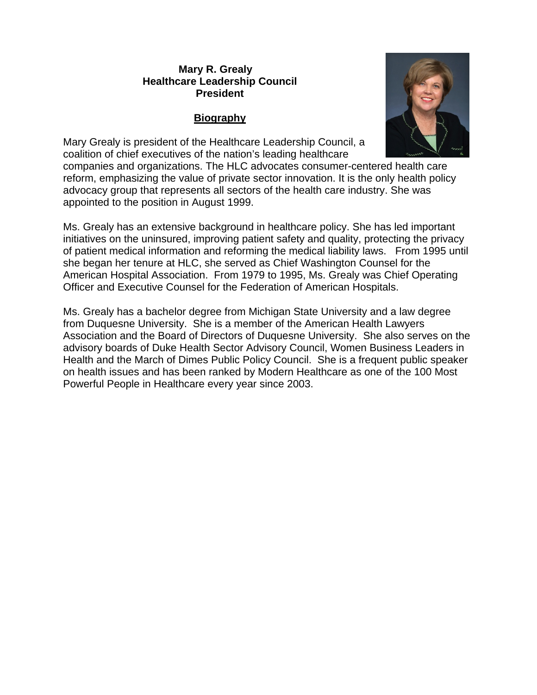### **Mary R. Grealy Healthcare Leadership Council President**

### **Biography**



Mary Grealy is president of the Healthcare Leadership Council, a coalition of chief executives of the nation's leading healthcare

companies and organizations. The HLC advocates consumer-centered health care reform, emphasizing the value of private sector innovation. It is the only health policy advocacy group that represents all sectors of the health care industry. She was appointed to the position in August 1999.

Ms. Grealy has an extensive background in healthcare policy. She has led important initiatives on the uninsured, improving patient safety and quality, protecting the privacy of patient medical information and reforming the medical liability laws. From 1995 until she began her tenure at HLC, she served as Chief Washington Counsel for the American Hospital Association. From 1979 to 1995, Ms. Grealy was Chief Operating Officer and Executive Counsel for the Federation of American Hospitals.

Ms. Grealy has a bachelor degree from Michigan State University and a law degree from Duquesne University. She is a member of the American Health Lawyers Association and the Board of Directors of Duquesne University. She also serves on the advisory boards of Duke Health Sector Advisory Council, Women Business Leaders in Health and the March of Dimes Public Policy Council. She is a frequent public speaker on health issues and has been ranked by Modern Healthcare as one of the 100 Most Powerful People in Healthcare every year since 2003.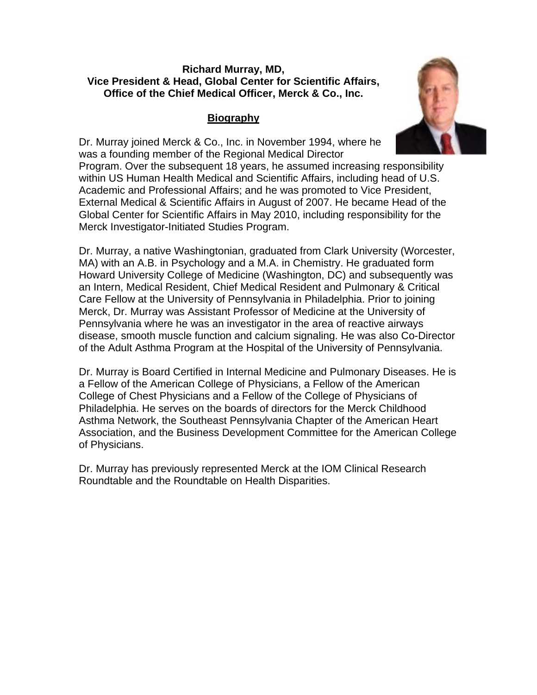### **Richard Murray, MD, Vice President & Head, Global Center for Scientific Affairs, Office of the Chief Medical Officer, Merck & Co., Inc.**

# **Biography**

Dr. Murray joined Merck & Co., Inc. in November 1994, where he was a founding member of the Regional Medical Director Program. Over the subsequent 18 years, he assumed increasing responsibility within US Human Health Medical and Scientific Affairs, including head of U.S. Academic and Professional Affairs; and he was promoted to Vice President, External Medical & Scientific Affairs in August of 2007. He became Head of the Global Center for Scientific Affairs in May 2010, including responsibility for the Merck Investigator-Initiated Studies Program.

Dr. Murray, a native Washingtonian, graduated from Clark University (Worcester, MA) with an A.B. in Psychology and a M.A. in Chemistry. He graduated form Howard University College of Medicine (Washington, DC) and subsequently was an Intern, Medical Resident, Chief Medical Resident and Pulmonary & Critical Care Fellow at the University of Pennsylvania in Philadelphia. Prior to joining Merck, Dr. Murray was Assistant Professor of Medicine at the University of Pennsylvania where he was an investigator in the area of reactive airways disease, smooth muscle function and calcium signaling. He was also Co-Director of the Adult Asthma Program at the Hospital of the University of Pennsylvania.

Dr. Murray is Board Certified in Internal Medicine and Pulmonary Diseases. He is a Fellow of the American College of Physicians, a Fellow of the American College of Chest Physicians and a Fellow of the College of Physicians of Philadelphia. He serves on the boards of directors for the Merck Childhood Asthma Network, the Southeast Pennsylvania Chapter of the American Heart Association, and the Business Development Committee for the American College of Physicians.

Dr. Murray has previously represented Merck at the IOM Clinical Research Roundtable and the Roundtable on Health Disparities.

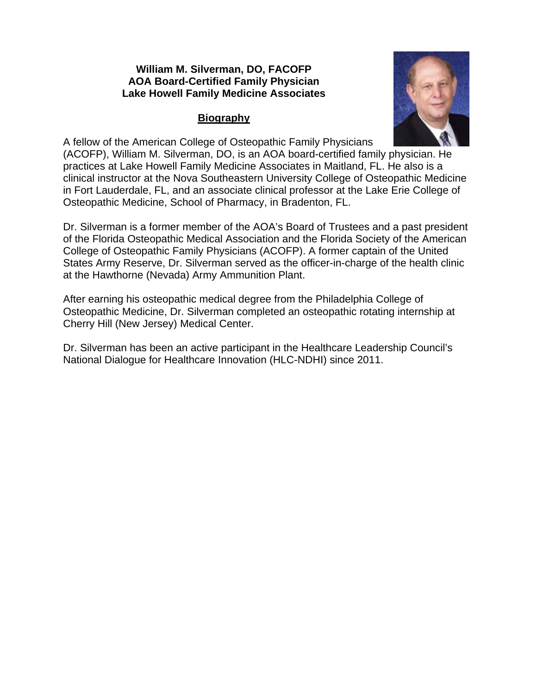### **William M. Silverman, DO, FACOFP AOA Board-Certified Family Physician Lake Howell Family Medicine Associates**

# **Biography**



A fellow of the American College of Osteopathic Family Physicians

(ACOFP), William M. Silverman, DO, is an AOA board-certified family physician. He practices at Lake Howell Family Medicine Associates in Maitland, FL. He also is a clinical instructor at the Nova Southeastern University College of Osteopathic Medicine in Fort Lauderdale, FL, and an associate clinical professor at the Lake Erie College of Osteopathic Medicine, School of Pharmacy, in Bradenton, FL.

Dr. Silverman is a former member of the AOA's Board of Trustees and a past president of the Florida Osteopathic Medical Association and the Florida Society of the American College of Osteopathic Family Physicians (ACOFP). A former captain of the United States Army Reserve, Dr. Silverman served as the officer-in-charge of the health clinic at the Hawthorne (Nevada) Army Ammunition Plant.

After earning his osteopathic medical degree from the Philadelphia College of Osteopathic Medicine, Dr. Silverman completed an osteopathic rotating internship at Cherry Hill (New Jersey) Medical Center.

Dr. Silverman has been an active participant in the Healthcare Leadership Council's National Dialogue for Healthcare Innovation (HLC-NDHI) since 2011.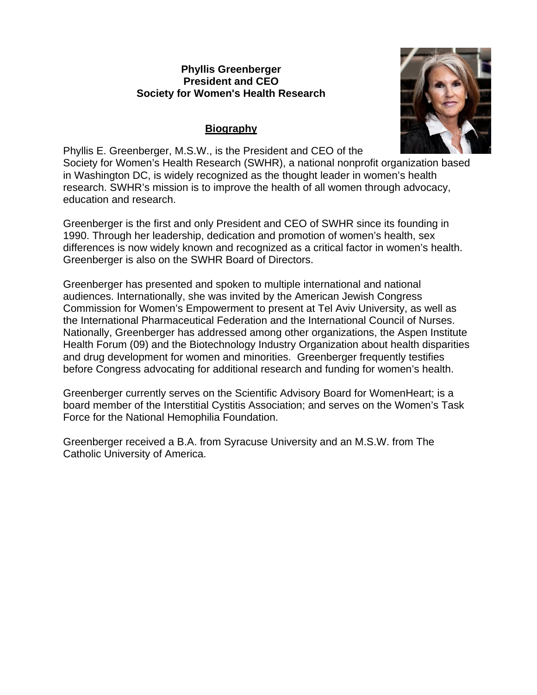### **Phyllis Greenberger President and CEO Society for Women's Health Research**

# **Biography**



Phyllis E. Greenberger, M.S.W., is the President and CEO of the Society for Women's Health Research (SWHR), a national nonprofit organization based in Washington DC, is widely recognized as the thought leader in women's health research. SWHR's mission is to improve the health of all women through advocacy, education and research.

Greenberger is the first and only President and CEO of SWHR since its founding in 1990. Through her leadership, dedication and promotion of women's health, sex differences is now widely known and recognized as a critical factor in women's health. Greenberger is also on the SWHR Board of Directors.

Greenberger has presented and spoken to multiple international and national audiences. Internationally, she was invited by the American Jewish Congress Commission for Women's Empowerment to present at Tel Aviv University, as well as the International Pharmaceutical Federation and the International Council of Nurses. Nationally, Greenberger has addressed among other organizations, the Aspen Institute Health Forum (09) and the Biotechnology Industry Organization about health disparities and drug development for women and minorities. Greenberger frequently testifies before Congress advocating for additional research and funding for women's health.

Greenberger currently serves on the Scientific Advisory Board for WomenHeart; is a board member of the Interstitial Cystitis Association; and serves on the Women's Task Force for the National Hemophilia Foundation.

Greenberger received a B.A. from Syracuse University and an M.S.W. from The Catholic University of America.